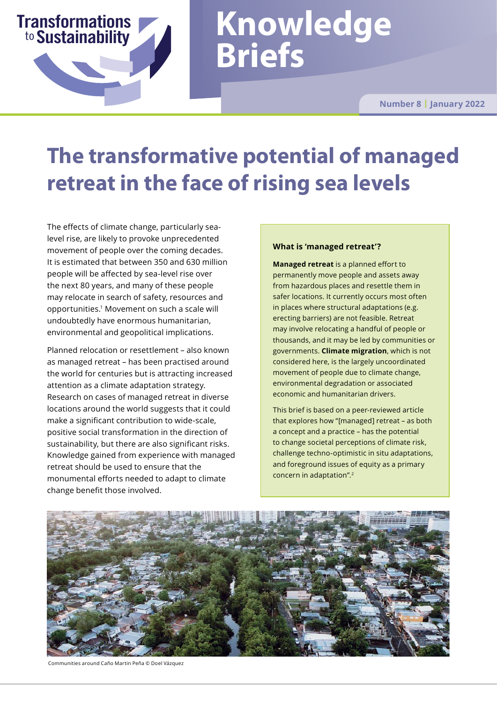# **Knowledge Briefs**

**Number 8 | January 2022**

## **The transformative potential of managed retreat in the face of rising sea levels**

The effects of climate change, particularly sealevel rise, are likely to provoke unprecedented movement of people over the coming decades. It is estimated that between 350 and 630 million people will be affected by sea-level rise over the next 80 years, and many of these people may relocate in search of safety, resources and opportunities.<sup>1</sup> Movement on such a scale will undoubtedly have enormous humanitarian, environmental and geopolitical implications.

Sustainability

**Transformations** 

to

Planned relocation or resettlement – also known as managed retreat – has been practised around the world for centuries but is attracting increased attention as a climate adaptation strategy. Research on cases of managed retreat in diverse locations around the world suggests that it could make a significant contribution to wide-scale, positive social transformation in the direction of sustainability, but there are also significant risks. Knowledge gained from experience with managed retreat should be used to ensure that the monumental efforts needed to adapt to climate change benefit those involved.

#### **What is 'managed retreat'?**

**Managed retreat** is a planned effort to permanently move people and assets away from hazardous places and resettle them in safer locations. It currently occurs most often in places where structural adaptations (e.g. erecting barriers) are not feasible. Retreat may involve relocating a handful of people or thousands, and it may be led by communities or governments. **Climate migration**, which is not considered here, is the largely uncoordinated movement of people due to climate change, environmental degradation or associated economic and humanitarian drivers.

This brief is based on a peer-reviewed article that explores how "[managed] retreat – as both a concept and a practice – has the potential to change societal perceptions of climate risk, challenge techno-optimistic in situ adaptations, and foreground issues of equity as a primary concern in adaptation".<sup>2</sup>



Communities around Caño Martin Peña © Doel Vázquez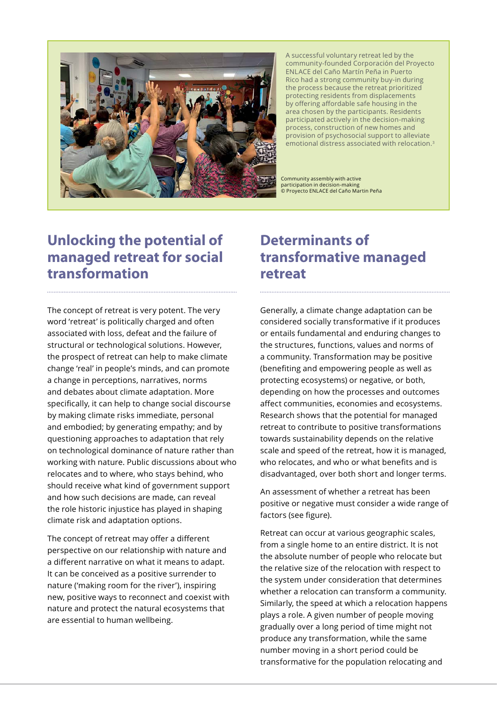

A successful voluntary retreat led by the community-founded Corporación del Proyecto ENLACE del Caño Martín Peña in Puerto Rico had a strong community buy-in during the process because the retreat prioritized protecting residents from displacements by offering affordable safe housing in the area chosen by the participants. Residents participated actively in the decision-making process, construction of new homes and provision of psychosocial support to alleviate emotional distress associated with relocation.3

Community assembly with active participation in decision-making © Proyecto ENLACE del Caño Martin Peña

## **Unlocking the potential of managed retreat for social transformation**

The concept of retreat is very potent. The very word 'retreat' is politically charged and often associated with loss, defeat and the failure of structural or technological solutions. However, the prospect of retreat can help to make climate change 'real' in people's minds, and can promote a change in perceptions, narratives, norms and debates about climate adaptation. More specifically, it can help to change social discourse by making climate risks immediate, personal and embodied; by generating empathy; and by questioning approaches to adaptation that rely on technological dominance of nature rather than working with nature. Public discussions about who relocates and to where, who stays behind, who should receive what kind of government support and how such decisions are made, can reveal the role historic injustice has played in shaping climate risk and adaptation options.

The concept of retreat may offer a different perspective on our relationship with nature and a different narrative on what it means to adapt. It can be conceived as a positive surrender to nature ('making room for the river'), inspiring new, positive ways to reconnect and coexist with nature and protect the natural ecosystems that are essential to human wellbeing.

## **Determinants of transformative managed retreat**

Generally, a climate change adaptation can be considered socially transformative if it produces or entails fundamental and enduring changes to the structures, functions, values and norms of a community. Transformation may be positive (benefiting and empowering people as well as protecting ecosystems) or negative, or both, depending on how the processes and outcomes affect communities, economies and ecosystems. Research shows that the potential for managed retreat to contribute to positive transformations towards sustainability depends on the relative scale and speed of the retreat, how it is managed, who relocates, and who or what benefits and is disadvantaged, over both short and longer terms.

An assessment of whether a retreat has been positive or negative must consider a wide range of factors (see figure).

Retreat can occur at various geographic scales, from a single home to an entire district. It is not the absolute number of people who relocate but the relative size of the relocation with respect to the system under consideration that determines whether a relocation can transform a community. Similarly, the speed at which a relocation happens plays a role. A given number of people moving gradually over a long period of time might not produce any transformation, while the same number moving in a short period could be transformative for the population relocating and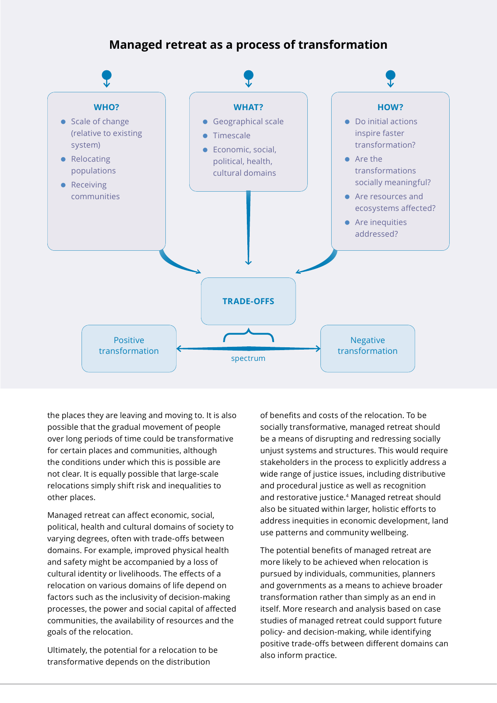## **Managed retreat as a process of transformation**



the places they are leaving and moving to. It is also possible that the gradual movement of people over long periods of time could be transformative for certain places and communities, although the conditions under which this is possible are not clear. It is equally possible that large-scale relocations simply shift risk and inequalities to other places.

Managed retreat can affect economic, social, political, health and cultural domains of society to varying degrees, often with trade-offs between domains. For example, improved physical health and safety might be accompanied by a loss of cultural identity or livelihoods. The effects of a relocation on various domains of life depend on factors such as the inclusivity of decision-making processes, the power and social capital of affected communities, the availability of resources and the goals of the relocation.

Ultimately, the potential for a relocation to be transformative depends on the distribution

of benefits and costs of the relocation. To be socially transformative, managed retreat should be a means of disrupting and redressing socially unjust systems and structures. This would require stakeholders in the process to explicitly address a wide range of justice issues, including distributive and procedural justice as well as recognition and restorative justice.<sup>4</sup> Managed retreat should also be situated within larger, holistic efforts to address inequities in economic development, land use patterns and community wellbeing.

The potential benefits of managed retreat are more likely to be achieved when relocation is pursued by individuals, communities, planners and governments as a means to achieve broader transformation rather than simply as an end in itself. More research and analysis based on case studies of managed retreat could support future policy- and decision-making, while identifying positive trade-offs between different domains can also inform practice.